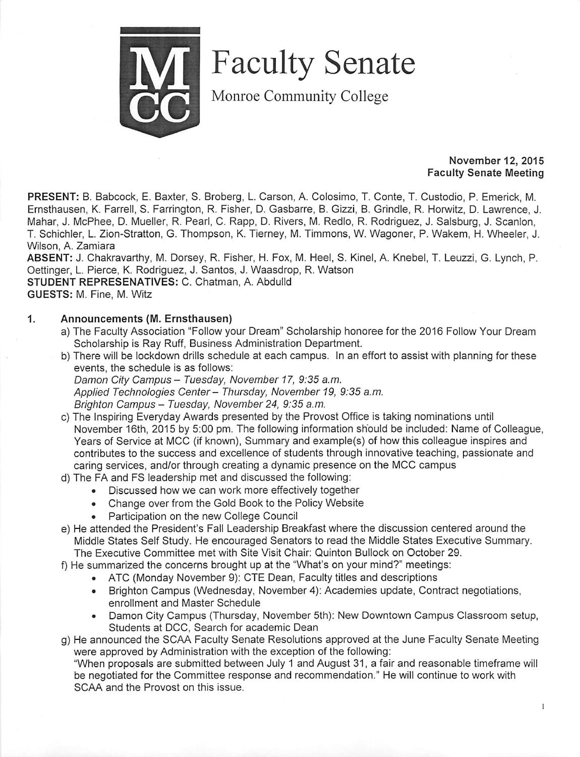

Faculty Senate

Monroe Community College

### *November 12, 2015 Faculty Senate Meeting*

*PRESENT:* B. Babcock, E. Baxter, S. Broberg, L. Carson, A. Colosimo, T. Conte, T. Custodio, P. Emerick, M. Ernsthausen, K. Farrell, S. Farrington, R. Fisher, D. Gasbarre, B. Gizzi, B. Grindle, R. Horwitz, D. Lawrence, J. Mahar, J. McPhee, D. Mueller, R. Pearl, C. Rapp, D. Rivers, M. Redlo, R. Rodriguez, J. Salsburg, J. Scanlon, T. Schichler, L. Zion-Stratton, G. Thompson, K. Tierney, M. Timmons, W. Wagoner, P. Wakem, H. Wheeler, J. Wilson, A. Zamiara

*ABSENT:* J. Chakravarthy, M. Dorsey, R. Fisher, H. Fox, M. Heel, S. Kinel, A. Knebel, T. Leuzzi, G. Lynch, P. Oettinger, L. Pierce, K. Rodriguez, J. Santos, J. Waasdrop, R. Watson *STUDENT REPRESENATIVES:* C. Chatman, A. Abdulld *GUESTS:* M. Fine, M. Witz

### *1. Announcements (M. Ernsthausen)*

- a) The Faculty Association "Follow your Dream" Scholarship honoree for the 2016 Follow Your Dream Scholarship is Ray Ruff, Business Administration Department.
- b) There will be lockdown drills schedule at each campus. In an effort to assist with planning for these events, the schedule is as follows: **Damon City Campus - Tuesday, November 17, 9:35 a.m. Applied Technologies Center- Thursday, November 19, 9:35 a.m. Brighton Campus- Tuesday, November24, 9:35a.m.**
- c) The Inspiring Everyday Awards presented by the Provost Office is taking nominations until November 16th, 2015 by 5:00 pm. The following information should be included: Name of Colleague, Years of Service at MCC (if known), Summary and example(s) of how this colleague inspires and contributes to the success and excellence of students through innovative teaching, passionate and caring services, and/or through creating a dynamic presence on the MCC campus
- d) The FA and FS leadership met and discussed the following:
	- Discussed how we can work more effectively together
	- Change over from the Gold Book to the Policy Website
	- Participation on the new College Council
- e) He attended the President's Fall Leadership Breakfast where the discussion centered around the Middle States Self Study. He encouraged Senators to read the Middle States Executive Summary. The Executive Committee met with Site Visit Chair: Quinton Bullock on October 29.
- f) He summarized the concerns brought up at the "What's on your mind?" meetings:
	- ATC (Monday November 9): CTE Dean, Faculty titles and descriptions
	- Brighton Campus (Wednesday, November 4): Academies update, Contract negotiations, enrollment and Master Schedule
	- Damon City Campus (Thursday, November 5th): New Downtown Campus Classroom setup, Students at DCC, Search for academic Dean
- g) He announced the SCAA Faculty Senate Resolutions approved at the June Faculty Senate Meeting were approved by Administration with the exception of the following:

"When proposals are submitted between July 1 and August 31, a fair and reasonable timeframe will be negotiated for the Committee response and recommendation." He will continue to work with SCAA and the Provost on this issue.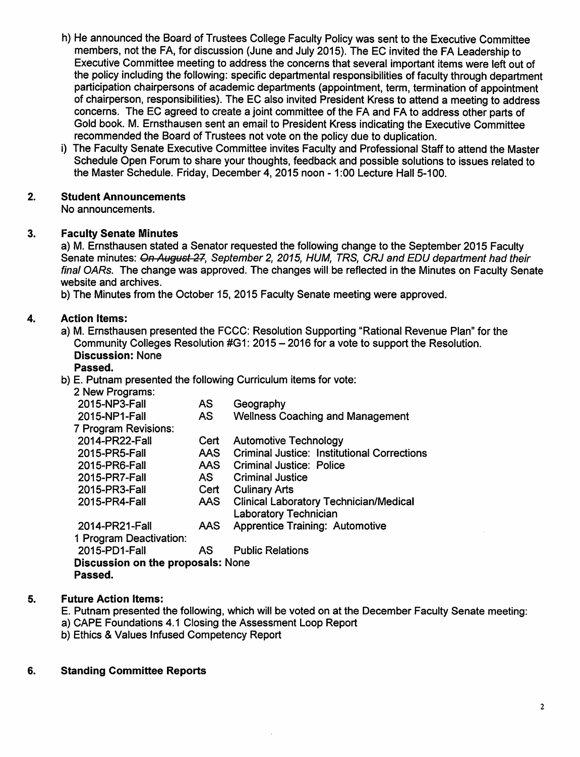- h) He announced the Board of Trustees College Faculty Policy was sent to the Executive Committee members, not the FA, for discussion (June and July 2015). The EC invited the FA Leadership to Executive Committee meeting to address the concerns that several important items were left out of the policy including the following: specific departmental responsibilities of faculty through department participation chairpersons of academic departments (appointment, term, termination of appointment of chairperson, responsibilities). The EC also invited President Kress to attend a meeting to address concerns. The EC agreed to create a joint committee of the FA and FA to address other parts of Gold book. M. Ernsthausen sent an email to President Kress indicating the Executive Committee recommended the Board of Trustees not vote on the policy due to duplication.
- i) The Faculty Senate Executive Committee invites Faculty and Professional Staff to attend the Master Schedule Open Forum to share your thoughts, feedback and possible solutions to issues related to the Master Schedule. Friday, December 4, 2015 noon -1:00 Lecture Hall 5-100.

#### 2. *Student Announcements*

No announcements.

#### 3. *Faculty Senate Minutes*

a) M. Ernsthausen stated a Senator requested the following change to the September 2015 Faculty Senate minutes: **On August 27, September 2, 2015, HUM, TRS, CRJ and EDU department had their final OARs.** The change was approved. The changes will be reflected in the Minutes on Faculty Senate website and archives.

b) The Minutes from the October 15, 2015 Faculty Senate meeting were approved.

#### 4. *Action Items:*

a) M. Ernsthausen presented the FCCC: Resolution Supporting "Rational Revenue Plan" for the Community Colleges Resolution #G1: 2015 - 2016 for a vote to support the Resolution. *Discussion:* None

# *Passed.*

b) E. Putnam presented the following Curriculum items for vote:

| 2 New Programs:                          |            |                                                    |  |  |  |
|------------------------------------------|------------|----------------------------------------------------|--|--|--|
| 2015-NP3-Fall                            | <b>AS</b>  | Geography                                          |  |  |  |
| 2015-NP1-Fall                            | AS.        | <b>Wellness Coaching and Management</b>            |  |  |  |
| 7 Program Revisions:                     |            |                                                    |  |  |  |
| 2014-PR22-Fall                           | Cert       | <b>Automotive Technology</b>                       |  |  |  |
| 2015-PR5-Fall                            | AAS.       | <b>Criminal Justice: Institutional Corrections</b> |  |  |  |
| 2015-PR6-Fall                            | <b>AAS</b> | Criminal Justice: Police                           |  |  |  |
| 2015-PR7-Fall                            | AS I       | <b>Criminal Justice</b>                            |  |  |  |
| 2015-PR3-Fall                            | Cert       | <b>Culinary Arts</b>                               |  |  |  |
| 2015-PR4-Fall                            | AAS        | <b>Clinical Laboratory Technician/Medical</b>      |  |  |  |
|                                          |            | <b>Laboratory Technician</b>                       |  |  |  |
| 2014-PR21-Fall                           | AAS.       | <b>Apprentice Training: Automotive</b>             |  |  |  |
| 1 Program Deactivation:                  |            |                                                    |  |  |  |
| 2015-PD1-Fall                            | AS.        | <b>Public Relations</b>                            |  |  |  |
| <b>Discussion on the proposals: None</b> |            |                                                    |  |  |  |
| Passed.                                  |            |                                                    |  |  |  |

#### 5. *Future Action Items:*

- E. Putnam presented the following, which will be voted on at the December Faculty Senate meeting:
- a) CAPE Foundations 4.1 Closing the Assessment Loop Report
- b) Ethics & Values Infused Competency Report

#### *Standing Committee Reports*6.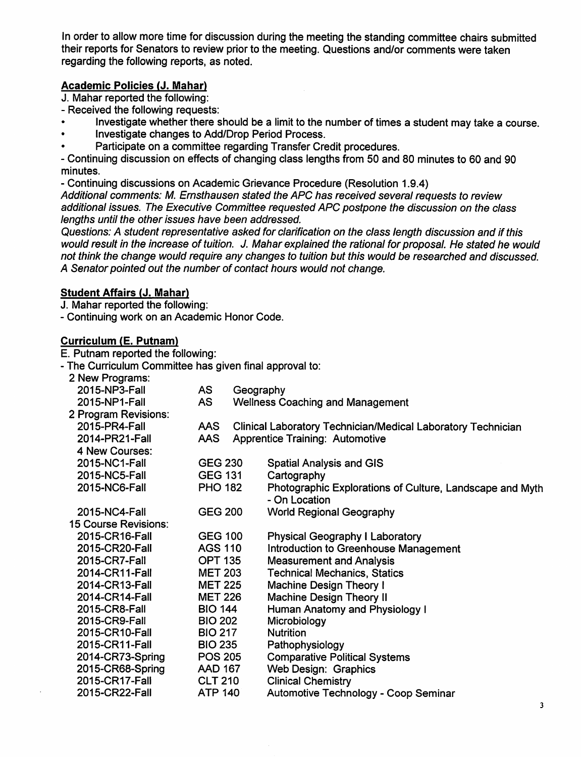In order to allow more time for discussion during the meeting the standing committee chairs submitted their reports for Senators to review prior to the meeting. Questions and/or comments were taken regarding the following reports, as noted.

# *Academic Policies (J. Mahar)*

J. Mahar reported the following:

- Received the following requests:
- Investigate whether there should be a limit to the number of times a student may take a course.
- Investigate changes to Add/Drop Period Process.
- Participate on a committee regarding Transfer Credit procedures.

- Continuing discussion on effects of changing class lengths from 50 and 80 minutes to 60 and 90 minutes.

- Continuing discussions on Academic Grievance Procedure (Resolution 1.9.4)

**Additional comments: M. Ernsthausen stated the APC has received several requests to review additional issues. The Executive Committee requested APC postpone the discussion on the class lengths until the other issues have been addressed.**

**Questions: A student representative asked for clarification on the class length discussion and if this would result in the increase oftuition. J. Maharexplained the rational forproposal. He stated he would not think the change would require any changes to tuition but this would be researched and discussed. A Senatorpointed out the number of contact hours would not change.**

# *Student Affairs (J. Mahar)*

J. Mahar reported the following:

- Continuing work on an Academic Honor Code.

## *Curriculum (E. Putnam)*

E. Putnam reported the following:

- The Curriculum Committee has given final approval to:

| 2 New Programs:             |                |           |                                                                           |
|-----------------------------|----------------|-----------|---------------------------------------------------------------------------|
| 2015-NP3-Fall               | <b>AS</b>      | Geography |                                                                           |
| 2015-NP1-Fall               | <b>AS</b>      |           | <b>Wellness Coaching and Management</b>                                   |
| 2 Program Revisions:        |                |           |                                                                           |
| 2015-PR4-Fall               | AAS            |           | <b>Clinical Laboratory Technician/Medical Laboratory Technician</b>       |
| 2014-PR21-Fall              | AAS.           |           | <b>Apprentice Training: Automotive</b>                                    |
| 4 New Courses:              |                |           |                                                                           |
| 2015-NC1-Fall               | <b>GEG 230</b> |           | <b>Spatial Analysis and GIS</b>                                           |
| 2015-NC5-Fall               | <b>GEG 131</b> |           | Cartography                                                               |
| 2015-NC6-Fall               | <b>PHO 182</b> |           | Photographic Explorations of Culture, Landscape and Myth<br>- On Location |
| 2015-NC4-Fall               | <b>GEG 200</b> |           | <b>World Regional Geography</b>                                           |
| <b>15 Course Revisions:</b> |                |           |                                                                           |
| 2015-CR16-Fall              | <b>GEG 100</b> |           | <b>Physical Geography I Laboratory</b>                                    |
| 2015-CR20-Fall              | <b>AGS 110</b> |           | <b>Introduction to Greenhouse Management</b>                              |
| 2015-CR7-Fall               | <b>OPT 135</b> |           | <b>Measurement and Analysis</b>                                           |
| 2014-CR11-Fall              | <b>MET 203</b> |           | <b>Technical Mechanics, Statics</b>                                       |
| 2014-CR13-Fall              | <b>MET 225</b> |           | <b>Machine Design Theory I</b>                                            |
| 2014-CR14-Fall              | <b>MET 226</b> |           | <b>Machine Design Theory II</b>                                           |
| 2015-CR8-Fall               | <b>BIO 144</b> |           | Human Anatomy and Physiology I                                            |
| 2015-CR9-Fall               | <b>BIO 202</b> |           | Microbiology                                                              |
| 2015-CR10-Fall              | <b>BIO 217</b> |           | <b>Nutrition</b>                                                          |
| 2015-CR11-Fall              | <b>BIO 235</b> |           | Pathophysiology                                                           |
| 2014-CR73-Spring            | <b>POS 205</b> |           | <b>Comparative Political Systems</b>                                      |
| 2015-CR68-Spring            | <b>AAD 167</b> |           | Web Design: Graphics                                                      |
| 2015-CR17-Fall              | <b>CLT 210</b> |           | <b>Clinical Chemistry</b>                                                 |
| 2015-CR22-Fall              | <b>ATP 140</b> |           | Automotive Technology - Coop Seminar                                      |
|                             |                |           |                                                                           |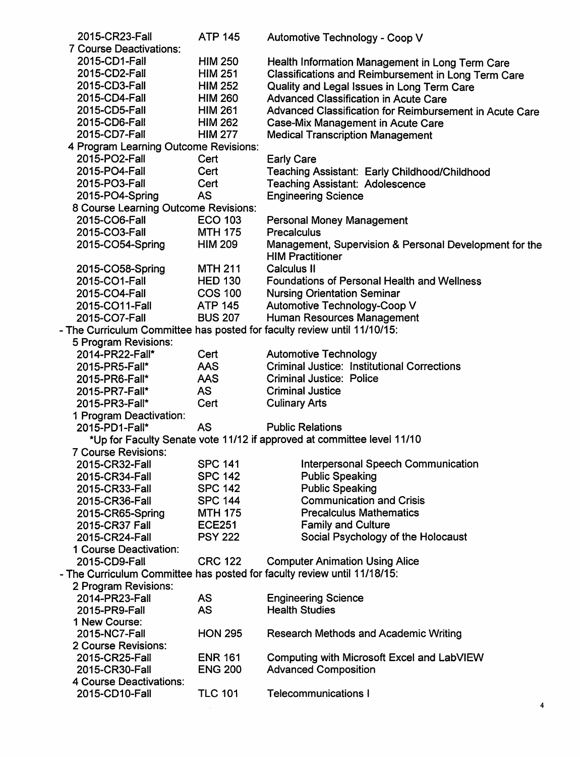| 2015-CR23-Fall                                                           | <b>ATP 145</b> | Automotive Technology - Coop V                                                    |  |  |
|--------------------------------------------------------------------------|----------------|-----------------------------------------------------------------------------------|--|--|
| <b>7 Course Deactivations:</b>                                           |                |                                                                                   |  |  |
| 2015-CD1-Fall                                                            | <b>HIM 250</b> | Health Information Management in Long Term Care                                   |  |  |
| 2015-CD2-Fall                                                            | <b>HIM 251</b> | Classifications and Reimbursement in Long Term Care                               |  |  |
| 2015-CD3-Fall                                                            | <b>HIM 252</b> | Quality and Legal Issues in Long Term Care                                        |  |  |
| 2015-CD4-Fall                                                            | <b>HIM 260</b> | <b>Advanced Classification in Acute Care</b>                                      |  |  |
| 2015-CD5-Fall                                                            | <b>HIM 261</b> | Advanced Classification for Reimbursement in Acute Care                           |  |  |
| 2015-CD6-Fall                                                            | <b>HIM 262</b> | Case-Mix Management in Acute Care                                                 |  |  |
| 2015-CD7-Fall                                                            | <b>HIM 277</b> | <b>Medical Transcription Management</b>                                           |  |  |
| 4 Program Learning Outcome Revisions:                                    |                |                                                                                   |  |  |
| 2015-PO2-Fall                                                            | Cert           | <b>Early Care</b>                                                                 |  |  |
| 2015-PO4-Fall                                                            | Cert           | Teaching Assistant: Early Childhood/Childhood                                     |  |  |
| 2015-PO3-Fall                                                            | Cert           | <b>Teaching Assistant: Adolescence</b>                                            |  |  |
| 2015-PO4-Spring                                                          | <b>AS</b>      | <b>Engineering Science</b>                                                        |  |  |
| 8 Course Learning Outcome Revisions:                                     |                |                                                                                   |  |  |
| 2015-CO6-Fall                                                            | <b>ECO 103</b> |                                                                                   |  |  |
| 2015-CO3-Fall                                                            |                | <b>Personal Money Management</b><br><b>Precalculus</b>                            |  |  |
|                                                                          | <b>MTH 175</b> |                                                                                   |  |  |
| 2015-CO54-Spring                                                         | <b>HIM 209</b> | Management, Supervision & Personal Development for the<br><b>HIM Practitioner</b> |  |  |
| 2015-CO58-Spring                                                         | <b>MTH 211</b> | <b>Calculus II</b>                                                                |  |  |
| 2015-CO1-Fall                                                            | <b>HED 130</b> | <b>Foundations of Personal Health and Wellness</b>                                |  |  |
| 2015-CO4-Fall                                                            | <b>COS 100</b> | <b>Nursing Orientation Seminar</b>                                                |  |  |
| 2015-CO11-Fall                                                           | <b>ATP 145</b> | Automotive Technology-Coop V                                                      |  |  |
| 2015-CO7-Fall                                                            | <b>BUS 207</b> | Human Resources Management                                                        |  |  |
| - The Curriculum Committee has posted for faculty review until 11/10/15: |                |                                                                                   |  |  |
| 5 Program Revisions:                                                     |                |                                                                                   |  |  |
| 2014-PR22-Fall*                                                          | Cert           | <b>Automotive Technology</b>                                                      |  |  |
| 2015-PR5-Fall*                                                           | <b>AAS</b>     | <b>Criminal Justice: Institutional Corrections</b>                                |  |  |
| 2015-PR6-Fall*                                                           | <b>AAS</b>     | <b>Criminal Justice: Police</b>                                                   |  |  |
| 2015-PR7-Fall*                                                           | <b>AS</b>      | <b>Criminal Justice</b>                                                           |  |  |
| 2015-PR3-Fall*                                                           | Cert           | <b>Culinary Arts</b>                                                              |  |  |
| 1 Program Deactivation:                                                  |                |                                                                                   |  |  |
| 2015-PD1-Fall*                                                           | <b>AS</b>      | <b>Public Relations</b>                                                           |  |  |
|                                                                          |                | *Up for Faculty Senate vote 11/12 if approved at committee level 11/10            |  |  |
| <b>7 Course Revisions:</b>                                               |                |                                                                                   |  |  |
| 2015-CR32-Fall                                                           | <b>SPC 141</b> | <b>Interpersonal Speech Communication</b>                                         |  |  |
| 2015-CR34-Fall                                                           | <b>SPC 142</b> | <b>Public Speaking</b>                                                            |  |  |
| 2015-CR33-Fall                                                           | <b>SPC 142</b> | <b>Public Speaking</b>                                                            |  |  |
| 2015-CR36-Fall                                                           | <b>SPC 144</b> | <b>Communication and Crisis</b>                                                   |  |  |
|                                                                          | <b>MTH 175</b> | <b>Precalculus Mathematics</b>                                                    |  |  |
| 2015-CR65-Spring<br>2015-CR37 Fall                                       | <b>ECE251</b>  | <b>Family and Culture</b>                                                         |  |  |
|                                                                          | <b>PSY 222</b> | Social Psychology of the Holocaust                                                |  |  |
| 2015-CR24-Fall                                                           |                |                                                                                   |  |  |
| 1 Course Deactivation:                                                   |                |                                                                                   |  |  |
| 2015-CD9-Fall                                                            | <b>CRC 122</b> | <b>Computer Animation Using Alice</b>                                             |  |  |
|                                                                          |                | - The Curriculum Committee has posted for faculty review until 11/18/15:          |  |  |
| 2 Program Revisions:                                                     |                |                                                                                   |  |  |
| 2014-PR23-Fall                                                           | <b>AS</b>      | <b>Engineering Science</b>                                                        |  |  |
| 2015-PR9-Fall                                                            | <b>AS</b>      | <b>Health Studies</b>                                                             |  |  |
| 1 New Course:                                                            |                |                                                                                   |  |  |
| 2015-NC7-Fall                                                            | <b>HON 295</b> | <b>Research Methods and Academic Writing</b>                                      |  |  |
| 2 Course Revisions:                                                      |                |                                                                                   |  |  |
| 2015-CR25-Fall                                                           | <b>ENR 161</b> | Computing with Microsoft Excel and LabVIEW                                        |  |  |
| 2015-CR30-Fall                                                           | <b>ENG 200</b> | <b>Advanced Composition</b>                                                       |  |  |
| 4 Course Deactivations:                                                  |                |                                                                                   |  |  |
| 2015-CD10-Fall                                                           | <b>TLC 101</b> | <b>Telecommunications I</b>                                                       |  |  |

4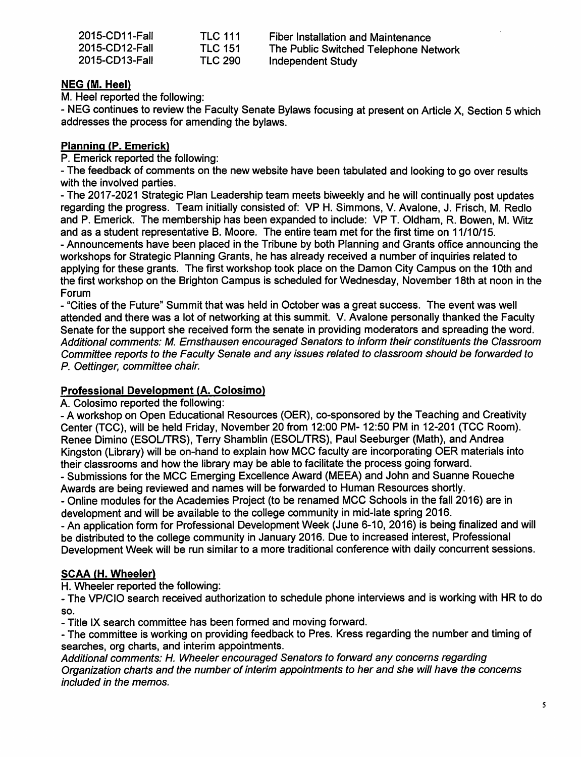| 2015-CD11-Fall | <b>TLC 111</b> | Fiber Installation and Maintenance    |
|----------------|----------------|---------------------------------------|
| 2015-CD12-Fall | <b>TLC 151</b> | The Public Switched Telephone Network |
| 2015-CD13-Fall | <b>TLC 290</b> | Independent Study                     |

### *NEG (M. Heel)*

M. Heel reported the following:

- NEG continues to review the Faculty Senate Bylaws focusing at present on Article X, Section 5 which addresses the process for amending the bylaws.

# *Planning (P. Emerick)*

P. Emerick reported the following:

- The feedback of comments on the new website have been tabulated and looking to go over results with the involved parties.

- The 2017-2021 Strategic Plan Leadership team meets biweekly and he will continually post updates regarding the progress. Team initially consisted of: VP H. Simmons, V. Avalone, J. Frisch, M. Redlo and P. Emerick. The membership has been expanded to include: VP T. Oldham, R. Bowen, M. Witz and as a student representative B. Moore. The entire team met for the first time on 11/10/15.

- Announcements have been placed in the Tribune by both Planning and Grants office announcing the workshops for Strategic Planning Grants, he has already received a number of inquiries related to applying for these grants. The first workshop took place on the Damon City Campus on the 10th and the first workshop on the Brighton Campus is scheduled for Wednesday, November 18th at noon in the Forum

- "Cities of the Future" Summit that was held in October was a great success. The event was well attended and there was a lot of networking at this summit. V. Avalone personally thanked the Faculty Senate for the support she received form the senate in providing moderators and spreading the word. **Additional comments: M. Ernsthausen encouraged Senators to inform their constituents the Classroom Committee reports to the Faculty Senate and any issues related to classroom should be forwarded to P. Oettinger, committee chair.**

# *Professional Development (A. Colosimo)*

A. Colosimo reported the following:

- A workshop on Open Educational Resources (OER), co-sponsored by the Teaching and Creativity Center (TCC), will be held Friday, November 20 from 12:00 PM-12:50 PM in 12-201 (TCC Room). Renee Dimino (ESOL/TRS), Terry Shamblin (ESOL/TRS), Paul Seeburger (Math), and Andrea Kingston (Library) will be on-hand to explain how MCC faculty are incorporating OER materials into their classrooms and how the library may be able to facilitate the process going forward.

- Submissions for the MCC Emerging Excellence Award (MEEA) and John and Suanne Roueche Awards are being reviewed and names will be forwarded to Human Resources shortly.

- Online modules for the Academies Project (to be renamed MCC Schools in the fall 2016) are in development and will be available to the college community in mid-late spring 2016.

- An application form for Professional Development Week (June 6-10, 2016) is being finalized and will be distributed to the college community in January 2016. Due to increased interest, Professional Development Week will be run similar to a more traditional conference with daily concurrent sessions.

# *SCAA (H. Wheeler)*

H. Wheeler reported the following:

- The VP/CIO search received authorization to schedule phone interviews and is working with HR to do so.

- Title IX search committee has been formed and moving forward.

- The committee is working on providing feedback to Pres. Kress regarding the number and timing of searches, org charts, and interim appointments.

**Additional comments: H. Wheeler encouraged Senators to forward any concerns regarding Organization charts and the number ofinterim appointments to her and she will have the concerns included in the memos.**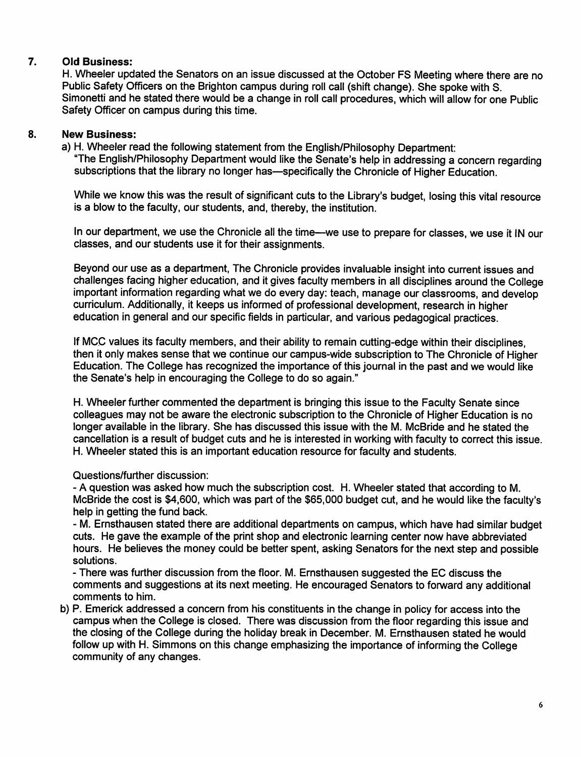## *7. Old Business:*

H. Wheeler updated the Senators on an issue discussed at the October FS Meeting where there are no Public Safety Officers on the Brighton campus during roll call (shift change). She spoke with S. Simonetti and he stated there would be a change in roll call procedures, which will allow for one Public Safety Officer on campus during this time.

### *8. New Business:*

a) H. Wheeler read the following statement from the English/Philosophy Department: "The English/Philosophy Department would like the Senate's help in addressing a concern regarding subscriptions that the library no longer has—specifically the Chronicle of Higher Education.

While we know this was the result of significant cuts to the Library's budget, losing this vital resource is a blow to the faculty, our students, and, thereby, the institution.

In our department, we use the Chronicle all the time—we use to prepare for classes, we use it IN our classes, and our students use it for their assignments.

Beyond our use as a department, The Chronicle provides invaluable insight into current issues and challenges facing higher education, and it gives faculty members in all disciplines around the College important information regarding what we do every day: teach, manage our classrooms, and develop curriculum. Additionally, it keeps us informed of professional development, research in higher education in general and our specific fields in particular, and various pedagogical practices.

If MCC values its faculty members, and their ability to remain cutting-edge within their disciplines, then it only makes sense that we continue our campus-wide subscription to The Chronicle of Higher Education. The College has recognized the importance of this journal in the past and we would like the Senate's help in encouraging the College to do so again."

H. Wheeler further commented the department is bringing this issue to the Faculty Senate since colleagues may not be aware the electronic subscription to the Chronicle of Higher Education is no longer available in the library. She has discussed this issue with the M. McBride and he stated the cancellation is a result of budget cuts and he is interested in working with faculty to correct this issue. H. Wheeler stated this is an important education resource for faculty and students.

### Questions/further discussion:

- A question was asked how much the subscription cost. H. Wheeler stated that according to M. McBride the cost is \$4,600, which was part of the \$65,000 budget cut, and he would like the faculty's help in getting the fund back.

- M. Ernsthausen stated there are additional departments on campus, which have had similar budget cuts. He gave the example of the print shop and electronic learning center now have abbreviated hours. He believes the money could be better spent, asking Senators for the next step and possible solutions.

- There was further discussion from the floor. M. Ernsthausen suggested the EC discuss the comments and suggestions at its next meeting. He encouraged Senators to forward any additional comments to him.

b) P. Emerick addressed a concern from his constituents in the change in policy for access into the campus when the College is closed. There was discussion from the floor regarding this issue and the closing of the College during the holiday break in December. M. Ernsthausen stated he would follow up with H. Simmons on this change emphasizing the importance of informing the College community of any changes.